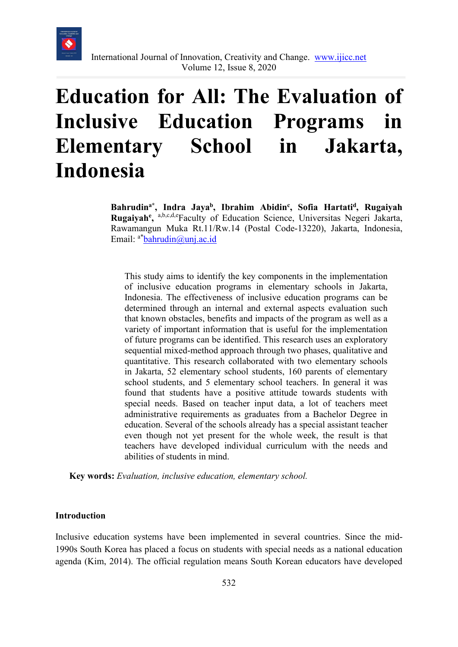

# **Education for All: The Evaluation of Inclusive Education Programs in Elementary School in Jakarta, Indonesia**

**Bahrudina\*, Indra Jayab, Ibrahim Abidinc , Sofia Hartatid, Rugaiyah** Rugaiyah<sup>e</sup>, a,b,c,d,eFaculty of Education Science, Universitas Negeri Jakarta, Rawamangun Muka Rt.11/Rw.14 (Postal Code-13220), Jakarta, Indonesia, Email:  $a^*$ bahrudin@unj.ac.id

This study aims to identify the key components in the implementation of inclusive education programs in elementary schools in Jakarta, Indonesia. The effectiveness of inclusive education programs can be determined through an internal and external aspects evaluation such that known obstacles, benefits and impacts of the program as well as a variety of important information that is useful for the implementation of future programs can be identified. This research uses an exploratory sequential mixed-method approach through two phases, qualitative and quantitative. This research collaborated with two elementary schools in Jakarta, 52 elementary school students, 160 parents of elementary school students, and 5 elementary school teachers. In general it was found that students have a positive attitude towards students with special needs. Based on teacher input data, a lot of teachers meet administrative requirements as graduates from a Bachelor Degree in education. Several of the schools already has a special assistant teacher even though not yet present for the whole week, the result is that teachers have developed individual curriculum with the needs and abilities of students in mind.

**Key words:** *Evaluation, inclusive education, elementary school.*

#### **Introduction**

Inclusive education systems have been implemented in several countries. Since the mid-1990s South Korea has placed a focus on students with special needs as a national education agenda (Kim, 2014). The official regulation means South Korean educators have developed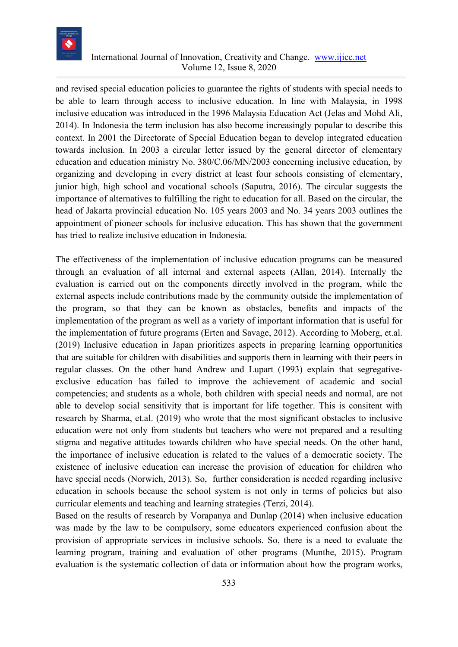

and revised special education policies to guarantee the rights of students with special needs to be able to learn through access to inclusive education. In line with Malaysia, in 1998 inclusive education was introduced in the 1996 Malaysia Education Act (Jelas and Mohd Ali, 2014). In Indonesia the term inclusion has also become increasingly popular to describe this context. In 2001 the Directorate of Special Education began to develop integrated education towards inclusion. In 2003 a circular letter issued by the general director of elementary education and education ministry No. 380/C.06/MN/2003 concerning inclusive education, by organizing and developing in every district at least four schools consisting of elementary, junior high, high school and vocational schools (Saputra, 2016). The circular suggests the importance of alternatives to fulfilling the right to education for all. Based on the circular, the head of Jakarta provincial education No. 105 years 2003 and No. 34 years 2003 outlines the appointment of pioneer schools for inclusive education. This has shown that the government has tried to realize inclusive education in Indonesia.

The effectiveness of the implementation of inclusive education programs can be measured through an evaluation of all internal and external aspects (Allan, 2014). Internally the evaluation is carried out on the components directly involved in the program, while the external aspects include contributions made by the community outside the implementation of the program, so that they can be known as obstacles, benefits and impacts of the implementation of the program as well as a variety of important information that is useful for the implementation of future programs (Erten and Savage, 2012). According to Moberg, et.al. (2019) Inclusive education in Japan prioritizes aspects in preparing learning opportunities that are suitable for children with disabilities and supports them in learning with their peers in regular classes. On the other hand Andrew and Lupart (1993) explain that segregativeexclusive education has failed to improve the achievement of academic and social competencies; and students as a whole, both children with special needs and normal, are not able to develop social sensitivity that is important for life together. This is consitent with research by Sharma, et.al. (2019) who wrote that the most significant obstacles to inclusive education were not only from students but teachers who were not prepared and a resulting stigma and negative attitudes towards children who have special needs. On the other hand, the importance of inclusive education is related to the values of a democratic society. The existence of inclusive education can increase the provision of education for children who have special needs (Norwich, 2013). So, further consideration is needed regarding inclusive education in schools because the school system is not only in terms of policies but also curricular elements and teaching and learning strategies (Terzi, 2014).

Based on the results of research by Vorapanya and Dunlap (2014) when inclusive education was made by the law to be compulsory, some educators experienced confusion about the provision of appropriate services in inclusive schools. So, there is a need to evaluate the learning program, training and evaluation of other programs (Munthe, 2015). Program evaluation is the systematic collection of data or information about how the program works,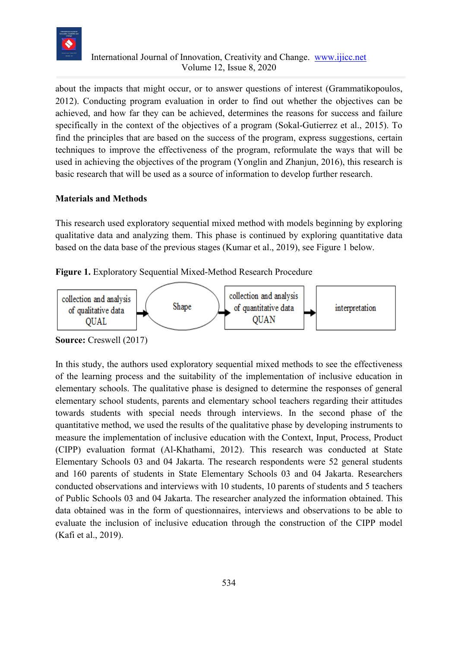

about the impacts that might occur, or to answer questions of interest (Grammatikopoulos, 2012). Conducting program evaluation in order to find out whether the objectives can be achieved, and how far they can be achieved, determines the reasons for success and failure specifically in the context of the objectives of a program (Sokal-Gutierrez et al., 2015). To find the principles that are based on the success of the program, express suggestions, certain techniques to improve the effectiveness of the program, reformulate the ways that will be used in achieving the objectives of the program (Yonglin and Zhanjun, 2016), this research is basic research that will be used as a source of information to develop further research.

#### **Materials and Methods**

This research used exploratory sequential mixed method with models beginning by exploring qualitative data and analyzing them. This phase is continued by exploring quantitative data based on the data base of the previous stages (Kumar et al., 2019), see Figure 1 below.

#### **Figure 1.** Exploratory Sequential Mixed-Method Research Procedure



**Source:** Creswell (2017)

In this study, the authors used exploratory sequential mixed methods to see the effectiveness of the learning process and the suitability of the implementation of inclusive education in elementary schools. The qualitative phase is designed to determine the responses of general elementary school students, parents and elementary school teachers regarding their attitudes towards students with special needs through interviews. In the second phase of the quantitative method, we used the results of the qualitative phase by developing instruments to measure the implementation of inclusive education with the Context, Input, Process, Product (CIPP) evaluation format (Al-Khathami, 2012). This research was conducted at State Elementary Schools 03 and 04 Jakarta. The research respondents were 52 general students and 160 parents of students in State Elementary Schools 03 and 04 Jakarta. Researchers conducted observations and interviews with 10 students, 10 parents of students and 5 teachers of Public Schools 03 and 04 Jakarta. The researcher analyzed the information obtained. This data obtained was in the form of questionnaires, interviews and observations to be able to evaluate the inclusion of inclusive education through the construction of the CIPP model (Kafi et al., 2019).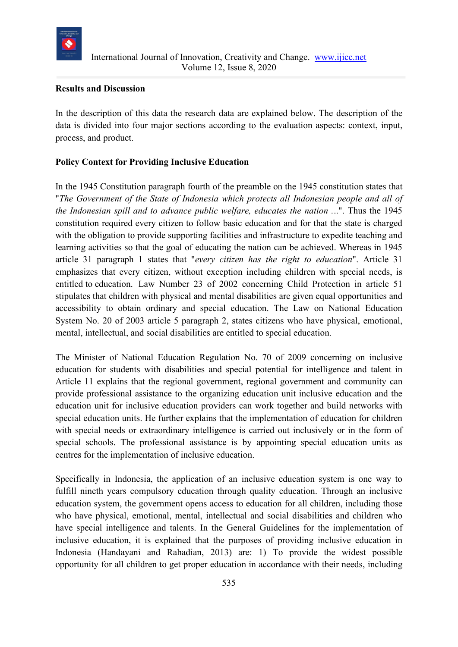

#### **Results and Discussion**

In the description of this data the research data are explained below. The description of the data is divided into four major sections according to the evaluation aspects: context, input, process, and product.

# **Policy Context for Providing Inclusive Education**

In the 1945 Constitution paragraph fourth of the preamble on the 1945 constitution states that "*The Government of the State of Indonesia which protects all Indonesian people and all of the Indonesian spill and to advance public welfare, educates the nation .*..". Thus the 1945 constitution required every citizen to follow basic education and for that the state is charged with the obligation to provide supporting facilities and infrastructure to expedite teaching and learning activities so that the goal of educating the nation can be achieved. Whereas in 1945 article 31 paragraph 1 states that "*every citizen has the right to education*". Article 31 emphasizes that every citizen, without exception including children with special needs, is entitled to education. Law Number 23 of 2002 concerning Child Protection in article 51 stipulates that children with physical and mental disabilities are given equal opportunities and accessibility to obtain ordinary and special education. The Law on National Education System No. 20 of 2003 article 5 paragraph 2, states citizens who have physical, emotional, mental, intellectual, and social disabilities are entitled to special education.

The Minister of National Education Regulation No. 70 of 2009 concerning on inclusive education for students with disabilities and special potential for intelligence and talent in Article 11 explains that the regional government, regional government and community can provide professional assistance to the organizing education unit inclusive education and the education unit for inclusive education providers can work together and build networks with special education units. He further explains that the implementation of education for children with special needs or extraordinary intelligence is carried out inclusively or in the form of special schools. The professional assistance is by appointing special education units as centres for the implementation of inclusive education.

Specifically in Indonesia, the application of an inclusive education system is one way to fulfill nineth years compulsory education through quality education. Through an inclusive education system, the government opens access to education for all children, including those who have physical, emotional, mental, intellectual and social disabilities and children who have special intelligence and talents. In the General Guidelines for the implementation of inclusive education, it is explained that the purposes of providing inclusive education in Indonesia (Handayani and Rahadian, 2013) are: 1) To provide the widest possible opportunity for all children to get proper education in accordance with their needs, including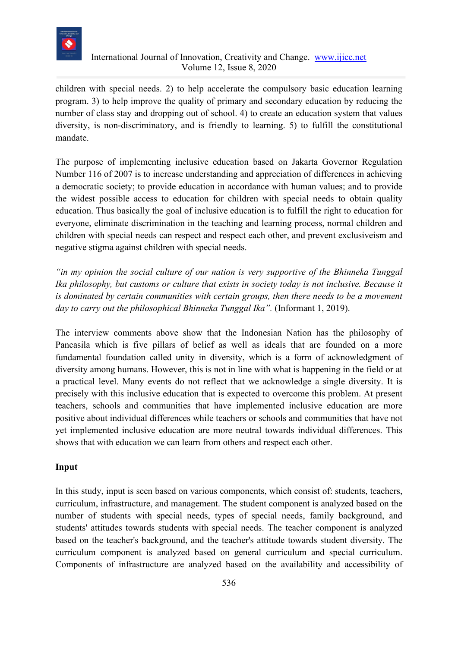

children with special needs. 2) to help accelerate the compulsory basic education learning program. 3) to help improve the quality of primary and secondary education by reducing the number of class stay and dropping out of school. 4) to create an education system that values diversity, is non-discriminatory, and is friendly to learning. 5) to fulfill the constitutional mandate.

The purpose of implementing inclusive education based on Jakarta Governor Regulation Number 116 of 2007 is to increase understanding and appreciation of differences in achieving a democratic society; to provide education in accordance with human values; and to provide the widest possible access to education for children with special needs to obtain quality education. Thus basically the goal of inclusive education is to fulfill the right to education for everyone, eliminate discrimination in the teaching and learning process, normal children and children with special needs can respect and respect each other, and prevent exclusiveism and negative stigma against children with special needs.

*"in my opinion the social culture of our nation is very supportive of the Bhinneka Tunggal Ika philosophy, but customs or culture that exists in society today is not inclusive. Because it is dominated by certain communities with certain groups, then there needs to be a movement day to carry out the philosophical Bhinneka Tunggal Ika".* (Informant 1, 2019).

The interview comments above show that the Indonesian Nation has the philosophy of Pancasila which is five pillars of belief as well as ideals that are founded on a more fundamental foundation called unity in diversity, which is a form of acknowledgment of diversity among humans. However, this is not in line with what is happening in the field or at a practical level. Many events do not reflect that we acknowledge a single diversity. It is precisely with this inclusive education that is expected to overcome this problem. At present teachers, schools and communities that have implemented inclusive education are more positive about individual differences while teachers or schools and communities that have not yet implemented inclusive education are more neutral towards individual differences. This shows that with education we can learn from others and respect each other.

# **Input**

In this study, input is seen based on various components, which consist of: students, teachers, curriculum, infrastructure, and management. The student component is analyzed based on the number of students with special needs, types of special needs, family background, and students' attitudes towards students with special needs. The teacher component is analyzed based on the teacher's background, and the teacher's attitude towards student diversity. The curriculum component is analyzed based on general curriculum and special curriculum. Components of infrastructure are analyzed based on the availability and accessibility of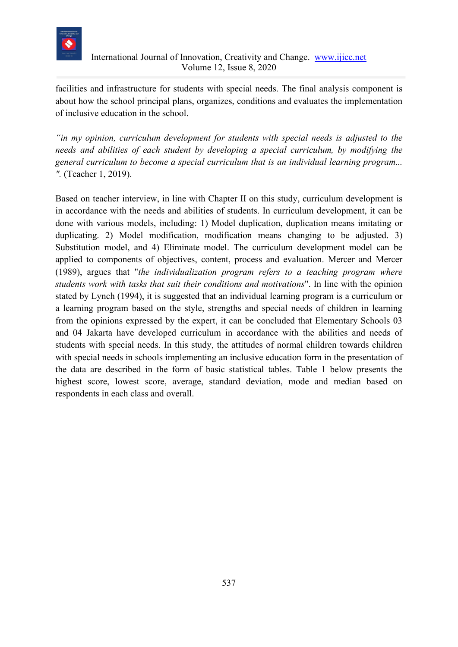

facilities and infrastructure for students with special needs. The final analysis component is about how the school principal plans, organizes, conditions and evaluates the implementation of inclusive education in the school.

*"in my opinion, curriculum development for students with special needs is adjusted to the needs and abilities of each student by developing a special curriculum, by modifying the general curriculum to become a special curriculum that is an individual learning program... ".* (Teacher 1, 2019).

Based on teacher interview, in line with Chapter II on this study, curriculum development is in accordance with the needs and abilities of students. In curriculum development, it can be done with various models, including: 1) Model duplication, duplication means imitating or duplicating. 2) Model modification, modification means changing to be adjusted. 3) Substitution model, and 4) Eliminate model. The curriculum development model can be applied to components of objectives, content, process and evaluation. Mercer and Mercer (1989), argues that "*the individualization program refers to a teaching program where students work with tasks that suit their conditions and motivations*". In line with the opinion stated by Lynch (1994), it is suggested that an individual learning program is a curriculum or a learning program based on the style, strengths and special needs of children in learning from the opinions expressed by the expert, it can be concluded that Elementary Schools 03 and 04 Jakarta have developed curriculum in accordance with the abilities and needs of students with special needs. In this study, the attitudes of normal children towards children with special needs in schools implementing an inclusive education form in the presentation of the data are described in the form of basic statistical tables. Table 1 below presents the highest score, lowest score, average, standard deviation, mode and median based on respondents in each class and overall.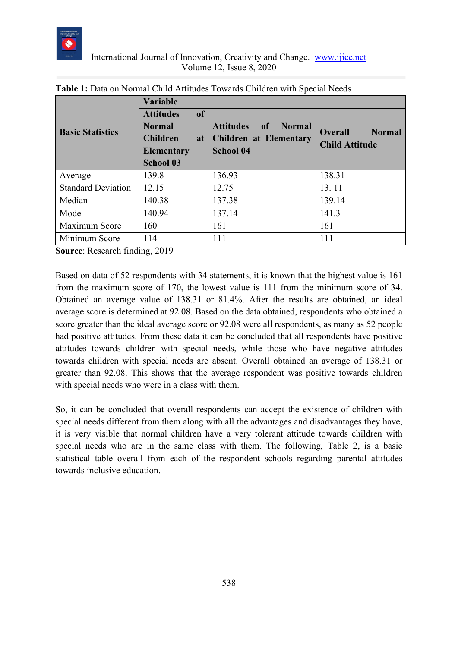

| <b>Basic Statistics</b>   | <b>Variable</b><br>of<br><b>Attitudes</b><br><b>Normal</b><br><b>Children</b><br>at<br><b>Elementary</b><br><b>School 03</b> | <b>Attitudes</b><br><b>Normal</b><br>of<br><b>Children at Elementary</b><br><b>School 04</b> | <b>Normal</b><br><b>Overall</b><br><b>Child Attitude</b> |
|---------------------------|------------------------------------------------------------------------------------------------------------------------------|----------------------------------------------------------------------------------------------|----------------------------------------------------------|
| Average                   | 139.8                                                                                                                        | 136.93                                                                                       | 138.31                                                   |
| <b>Standard Deviation</b> | 12.15                                                                                                                        | 12.75                                                                                        | 13.11                                                    |
| Median                    | 140.38                                                                                                                       | 137.38                                                                                       | 139.14                                                   |
| Mode                      | 140.94                                                                                                                       | 137.14                                                                                       | 141.3                                                    |
| Maximum Score             | 160                                                                                                                          | 161                                                                                          | 161                                                      |
| Minimum Score             | 114                                                                                                                          | 111                                                                                          | 111                                                      |

**Source**: Research finding, 2019

Based on data of 52 respondents with 34 statements, it is known that the highest value is 161 from the maximum score of 170, the lowest value is 111 from the minimum score of 34. Obtained an average value of 138.31 or 81.4%. After the results are obtained, an ideal average score is determined at 92.08. Based on the data obtained, respondents who obtained a score greater than the ideal average score or 92.08 were all respondents, as many as 52 people had positive attitudes. From these data it can be concluded that all respondents have positive attitudes towards children with special needs, while those who have negative attitudes towards children with special needs are absent. Overall obtained an average of 138.31 or greater than 92.08. This shows that the average respondent was positive towards children with special needs who were in a class with them.

So, it can be concluded that overall respondents can accept the existence of children with special needs different from them along with all the advantages and disadvantages they have, it is very visible that normal children have a very tolerant attitude towards children with special needs who are in the same class with them. The following, Table 2, is a basic statistical table overall from each of the respondent schools regarding parental attitudes towards inclusive education.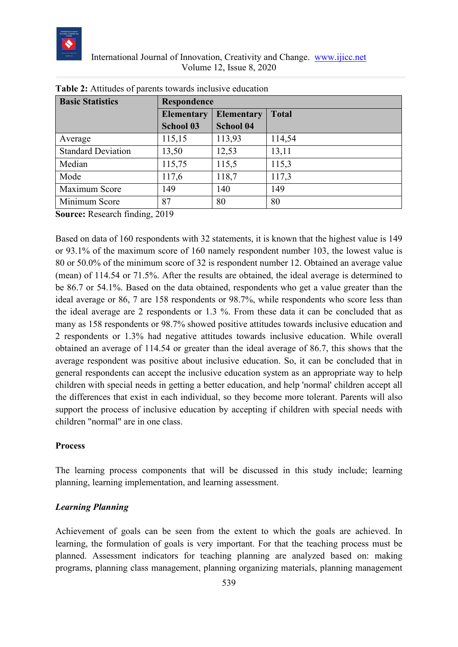

| <b>Basic Statistics</b>   |                   | Respondence       |              |  |  |  |  |  |  |  |
|---------------------------|-------------------|-------------------|--------------|--|--|--|--|--|--|--|
|                           | <b>Elementary</b> | <b>Elementary</b> | <b>Total</b> |  |  |  |  |  |  |  |
|                           | <b>School 03</b>  | <b>School 04</b>  |              |  |  |  |  |  |  |  |
| Average                   | 115,15            | 113,93            | 114,54       |  |  |  |  |  |  |  |
| <b>Standard Deviation</b> | 13,50             | 12,53             | 13,11        |  |  |  |  |  |  |  |
| Median                    | 115,75            | 115,5             | 115,3        |  |  |  |  |  |  |  |
| Mode                      | 117,6             | 118,7             | 117,3        |  |  |  |  |  |  |  |
| Maximum Score             | 149               | 140               | 149          |  |  |  |  |  |  |  |
| Minimum Score             | 87                | 80                | 80           |  |  |  |  |  |  |  |

| <b>Table 2:</b> Attitudes of parents towards inclusive education |
|------------------------------------------------------------------|
|------------------------------------------------------------------|

**Source:** Research finding, 2019

Based on data of 160 respondents with 32 statements, it is known that the highest value is 149 or 93.1% of the maximum score of 160 namely respondent number 103, the lowest value is 80 or 50.0% of the minimum score of 32 is respondent number 12. Obtained an average value (mean) of 114.54 or 71.5%. After the results are obtained, the ideal average is determined to be 86.7 or 54.1%. Based on the data obtained, respondents who get a value greater than the ideal average or 86, 7 are 158 respondents or 98.7%, while respondents who score less than the ideal average are 2 respondents or 1.3 %. From these data it can be concluded that as many as 158 respondents or 98.7% showed positive attitudes towards inclusive education and 2 respondents or 1.3% had negative attitudes towards inclusive education. While overall obtained an average of 114.54 or greater than the ideal average of 86.7, this shows that the average respondent was positive about inclusive education. So, it can be concluded that in general respondents can accept the inclusive education system as an appropriate way to help children with special needs in getting a better education, and help 'normal' children accept all the differences that exist in each individual, so they become more tolerant. Parents will also support the process of inclusive education by accepting if children with special needs with children "normal" are in one class.

#### **Process**

The learning process components that will be discussed in this study include; learning planning, learning implementation, and learning assessment.

#### *Learning Planning*

Achievement of goals can be seen from the extent to which the goals are achieved. In learning, the formulation of goals is very important. For that the teaching process must be planned. Assessment indicators for teaching planning are analyzed based on: making programs, planning class management, planning organizing materials, planning management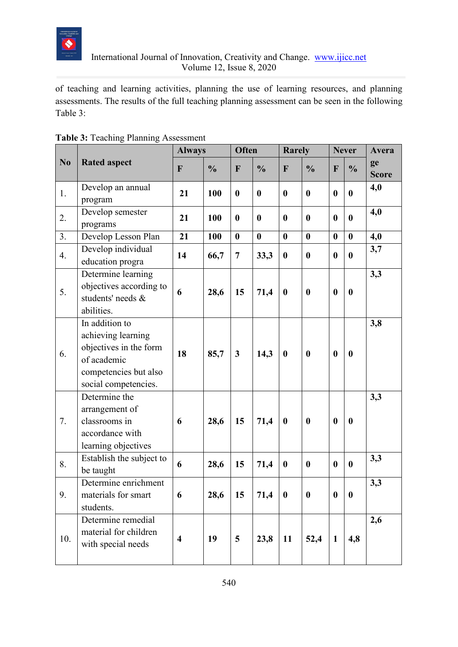

of teaching and learning activities, planning the use of learning resources, and planning assessments. The results of the full teaching planning assessment can be seen in the following Table 3:

|     |                                                                                                                                | <b>Always</b>           |               | Often            |                  | <b>Rarely</b>    |                  | <b>Never</b>     |                  | Avera              |
|-----|--------------------------------------------------------------------------------------------------------------------------------|-------------------------|---------------|------------------|------------------|------------------|------------------|------------------|------------------|--------------------|
| No  | <b>Rated aspect</b>                                                                                                            | F                       | $\frac{0}{0}$ | F                | $\frac{0}{0}$    | F                | $\frac{0}{0}$    | F                | $\frac{0}{0}$    | ge<br><b>Score</b> |
| 1.  | Develop an annual<br>program                                                                                                   | 21                      | 100           | $\boldsymbol{0}$ | $\boldsymbol{0}$ | $\bf{0}$         | $\boldsymbol{0}$ | $\boldsymbol{0}$ | $\bf{0}$         | 4,0                |
| 2.  | Develop semester<br>programs                                                                                                   | 21                      | 100           | $\boldsymbol{0}$ | $\boldsymbol{0}$ | $\bf{0}$         | $\boldsymbol{0}$ | $\boldsymbol{0}$ | $\boldsymbol{0}$ | 4,0                |
| 3.  | Develop Lesson Plan                                                                                                            | 21                      | 100           | $\boldsymbol{0}$ | $\bf{0}$         | $\bf{0}$         | $\boldsymbol{0}$ | $\boldsymbol{0}$ | $\boldsymbol{0}$ | 4,0                |
| 4.  | Develop individual<br>education progra                                                                                         | 14                      | 66,7          | $\overline{7}$   | 33,3             | $\boldsymbol{0}$ | $\boldsymbol{0}$ | $\bf{0}$         | $\boldsymbol{0}$ | 3,7                |
| 5.  | Determine learning<br>objectives according to<br>students' needs &<br>abilities.                                               | 6                       | 28,6          | 15               | 71,4             | $\boldsymbol{0}$ | $\boldsymbol{0}$ | $\bf{0}$         | $\boldsymbol{0}$ | 3,3                |
| 6.  | In addition to<br>achieving learning<br>objectives in the form<br>of academic<br>competencies but also<br>social competencies. | 18                      | 85,7          | $\mathbf{3}$     | 14,3             | $\boldsymbol{0}$ | $\boldsymbol{0}$ | $\boldsymbol{0}$ | $\boldsymbol{0}$ | 3,8                |
| 7.  | Determine the<br>arrangement of<br>classrooms in<br>accordance with<br>learning objectives                                     | 6                       | 28,6          | 15               | 71,4             | $\boldsymbol{0}$ | $\boldsymbol{0}$ | $\boldsymbol{0}$ | $\boldsymbol{0}$ | 3,3                |
| 8.  | Establish the subject to<br>be taught                                                                                          | 6                       | 28,6          | 15               | 71,4             | $\boldsymbol{0}$ | $\boldsymbol{0}$ | $\boldsymbol{0}$ | $\boldsymbol{0}$ | 3,3                |
| 9.  | Determine enrichment<br>materials for smart<br>students.                                                                       | 6                       | 28,6          | 15               | 71,4             | $\boldsymbol{0}$ | $\boldsymbol{0}$ | $\boldsymbol{0}$ | $\boldsymbol{0}$ | 3,3                |
| 10. | Determine remedial<br>material for children<br>with special needs                                                              | $\overline{\mathbf{4}}$ | 19            | 5                | 23,8             | 11               | 52,4             | $\mathbf{1}$     | 4,8              | 2,6                |

| <b>Table 3: Teaching Planning Assessment</b> |
|----------------------------------------------|
|----------------------------------------------|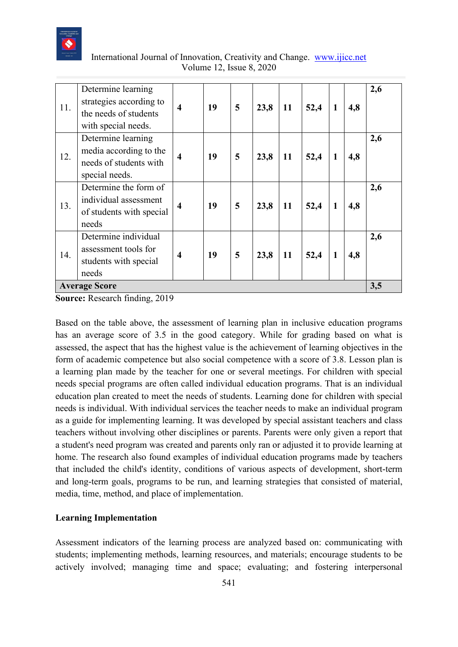

| International Journal of Innovation, Creativity and Change. www.ijicc.net |  |
|---------------------------------------------------------------------------|--|
| Volume 12, Issue 8, 2020                                                  |  |

| 11. | Determine learning<br>strategies according to<br>the needs of students<br>with special needs. | $\overline{\bf{4}}$     | 19 | 5 | 23,8 | 11 | 52,4 | $\mathbf{1}$ | 4,8 | 2,6 |
|-----|-----------------------------------------------------------------------------------------------|-------------------------|----|---|------|----|------|--------------|-----|-----|
| 12. | Determine learning<br>media according to the<br>needs of students with<br>special needs.      | $\overline{\bf{4}}$     | 19 | 5 | 23,8 | 11 | 52,4 | $\mathbf{1}$ | 4,8 | 2,6 |
| 13. | Determine the form of<br>individual assessment<br>of students with special<br>needs           | $\overline{\mathbf{4}}$ | 19 | 5 | 23,8 | 11 | 52,4 | $\mathbf{1}$ | 4,8 | 2,6 |
| 14. | Determine individual<br>assessment tools for<br>students with special<br>needs                | $\overline{\mathbf{4}}$ | 19 | 5 | 23,8 | 11 | 52,4 | $\mathbf{1}$ | 4,8 | 2,6 |
|     | <b>Average Score</b>                                                                          |                         |    |   |      |    |      |              |     | 3,5 |

**Source:** Research finding, 2019

Based on the table above, the assessment of learning plan in inclusive education programs has an average score of 3.5 in the good category. While for grading based on what is assessed, the aspect that has the highest value is the achievement of learning objectives in the form of academic competence but also social competence with a score of 3.8. Lesson plan is a learning plan made by the teacher for one or several meetings. For children with special needs special programs are often called individual education programs. That is an individual education plan created to meet the needs of students. Learning done for children with special needs is individual. With individual services the teacher needs to make an individual program as a guide for implementing learning. It was developed by special assistant teachers and class teachers without involving other disciplines or parents. Parents were only given a report that a student's need program was created and parents only ran or adjusted it to provide learning at home. The research also found examples of individual education programs made by teachers that included the child's identity, conditions of various aspects of development, short-term and long-term goals, programs to be run, and learning strategies that consisted of material, media, time, method, and place of implementation.

#### **Learning Implementation**

Assessment indicators of the learning process are analyzed based on: communicating with students; implementing methods, learning resources, and materials; encourage students to be actively involved; managing time and space; evaluating; and fostering interpersonal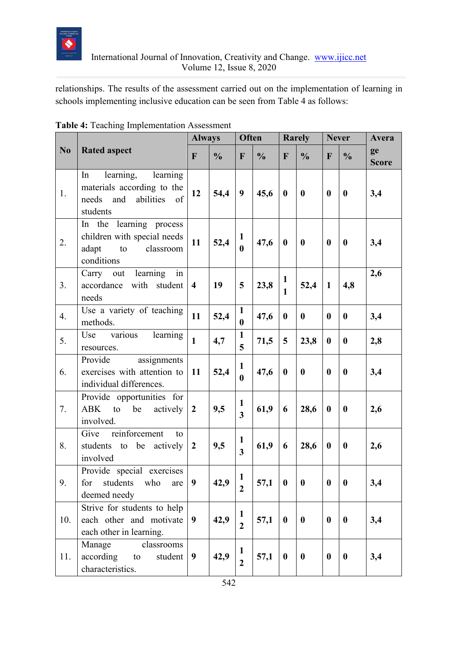

relationships. The results of the assessment carried out on the implementation of learning in schools implementing inclusive education can be seen from Table 4 as follows:

|                |                                                                                                          |                         | <b>Always</b> |                                         | <b>Often</b>  |                              | <b>Rarely</b>    |                  | <b>Never</b>     | Avera              |
|----------------|----------------------------------------------------------------------------------------------------------|-------------------------|---------------|-----------------------------------------|---------------|------------------------------|------------------|------------------|------------------|--------------------|
| N <sub>0</sub> | <b>Rated aspect</b>                                                                                      | $\mathbf{F}$            | $\frac{0}{0}$ | $\mathbf{F}$                            | $\frac{0}{0}$ | $\mathbf F$                  | $\frac{0}{0}$    | F                | $\frac{0}{0}$    | ge<br><b>Score</b> |
| 1.             | learning,<br>learning<br>In<br>materials according to the<br>abilities<br>needs<br>and<br>of<br>students | 12                      | 54,4          | 9                                       | 45,6          | $\boldsymbol{0}$             | $\bf{0}$         | $\bf{0}$         | $\boldsymbol{0}$ | 3,4                |
| 2.             | In the learning process<br>children with special needs<br>adapt<br>classroom<br>to<br>conditions         | 11                      | 52,4          | 1<br>$\mathbf{0}$                       | 47,6          | $\bf{0}$                     | $\boldsymbol{0}$ | $\bf{0}$         | $\boldsymbol{0}$ | 3,4                |
| 3.             | $\overline{\text{in}}$<br>learning<br>Carry<br>out<br>with student<br>accordance<br>needs                | $\overline{\mathbf{4}}$ | 19            | 5                                       | 23,8          | $\mathbf{1}$<br>$\mathbf{1}$ | 52,4             | $\mathbf{1}$     | 4,8              | 2,6                |
| 4.             | Use a variety of teaching<br>methods.                                                                    | 11                      | 52,4          | $\mathbf{1}$<br>$\boldsymbol{0}$        | 47,6          | $\bf{0}$                     | $\bf{0}$         | $\bf{0}$         | $\boldsymbol{0}$ | 3,4                |
| 5.             | various<br>learning<br>Use<br>resources.                                                                 | $\mathbf{1}$            | 4,7           | $\mathbf{1}$<br>5                       | 71,5          | 5                            | 23,8             | $\bf{0}$         | $\boldsymbol{0}$ | 2,8                |
| 6.             | Provide<br>assignments<br>exercises with attention to<br>individual differences.                         | 11                      | 52,4          | $\mathbf{1}$<br>$\mathbf{0}$            | 47,6          | $\bf{0}$                     | $\bf{0}$         | $\bf{0}$         | $\boldsymbol{0}$ | 3,4                |
| 7.             | Provide opportunities for<br><b>ABK</b><br>actively<br>be<br>to<br>involved.                             | $\overline{2}$          | 9,5           | $\mathbf{1}$<br>$\overline{\mathbf{3}}$ | 61,9          | 6                            | 28,6             | $\bf{0}$         | $\boldsymbol{0}$ | 2,6                |
| 8.             | reinforcement<br>Give<br>to<br>students to be actively<br>involved                                       | $\overline{2}$          | 9,5           | $\mathbf{1}$<br>$\overline{\mathbf{3}}$ | 61,9          | 6                            | 28,6             | $\boldsymbol{0}$ | $\boldsymbol{0}$ | 2,6                |
| 9.             | Provide special exercises<br>for<br>students<br>who<br>are<br>deemed needy                               | 9                       | 42,9          | $\mathbf{1}$<br>$\overline{2}$          | 57,1          | $\boldsymbol{0}$             | $\boldsymbol{0}$ | $\bf{0}$         | $\boldsymbol{0}$ | 3,4                |
| 10.            | Strive for students to help<br>each other and motivate<br>each other in learning.                        | $\boldsymbol{9}$        | 42,9          | $\mathbf{1}$<br>$\overline{2}$          | 57,1          | $\bf{0}$                     | $\bf{0}$         | $\boldsymbol{0}$ | $\boldsymbol{0}$ | 3,4                |
| 11.            | Manage<br>classrooms<br>according<br>student<br>to<br>characteristics.                                   | $\boldsymbol{9}$        | 42,9          | $\mathbf{1}$<br>$\overline{2}$          | 57,1          | $\bf{0}$                     | $\boldsymbol{0}$ | $\boldsymbol{0}$ | $\boldsymbol{0}$ | 3,4                |

|  | Table 4: Teaching Implementation Assessment |  |
|--|---------------------------------------------|--|
|  |                                             |  |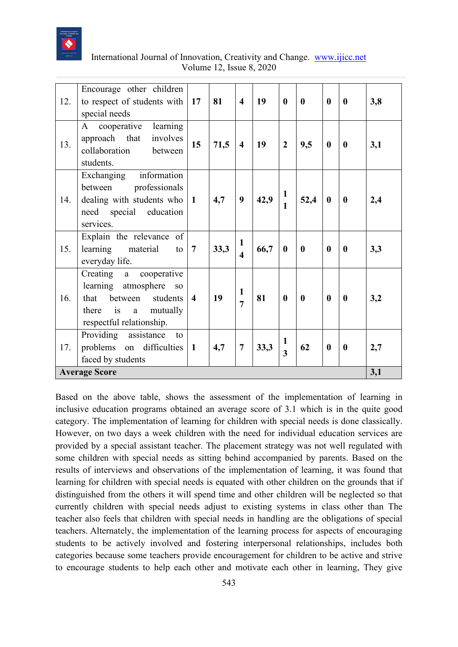

| International Journal of Innovation, Creativity and Change. www.ijicc.net |  |
|---------------------------------------------------------------------------|--|
| Volume 12, Issue 8, 2020                                                  |  |

| 12. | Encourage other children<br>to respect of students with<br>special needs                                                        | 17                      | 81   | $\overline{\mathbf{4}}$                 | 19   | $\mathbf{0}$                 | $\mathbf{0}$ | $\mathbf{0}$     | $\mathbf{0}$     | 3,8 |
|-----|---------------------------------------------------------------------------------------------------------------------------------|-------------------------|------|-----------------------------------------|------|------------------------------|--------------|------------------|------------------|-----|
| 13. | cooperative learning<br>A<br>approach that<br>involves<br>collaboration<br>between<br>students.                                 | 15                      | 71,5 | $\overline{\mathbf{4}}$                 | 19   | $\overline{2}$               | 9,5          | $\bf{0}$         | $\boldsymbol{0}$ | 3,1 |
| 14. | Exchanging information<br>between professionals<br>dealing with students who<br>need special education<br>services.             | $\mathbf{1}$            | 4,7  | 9                                       | 42,9 | $\mathbf{1}$<br>$\mathbf{1}$ | 52,4         | $\bf{0}$         | $\boldsymbol{0}$ | 2,4 |
| 15. | Explain the relevance of<br>learning material<br>to<br>everyday life.                                                           | $\overline{7}$          | 33,3 | $\mathbf{1}$<br>$\overline{\mathbf{4}}$ | 66,7 | $\boldsymbol{0}$             | $\bf{0}$     | $\boldsymbol{0}$ | $\boldsymbol{0}$ | 3,3 |
| 16. | Creating a cooperative<br>learning atmosphere so<br>that between students<br>there is<br>a mutually<br>respectful relationship. | $\overline{\mathbf{4}}$ | 19   | $\mathbf{1}$<br>$\overline{7}$          | 81   | $\mathbf{0}$                 | $\bf{0}$     | $\bf{0}$         | $\boldsymbol{0}$ | 3,2 |
| 17. | Providing assistance<br>to<br>problems on difficulties<br>faced by students                                                     | $\mathbf{1}$            | 4,7  | $\overline{7}$                          | 33,3 | 1<br>$\overline{3}$          | 62           | $\boldsymbol{0}$ | $\boldsymbol{0}$ | 2,7 |
|     | <b>Average Score</b>                                                                                                            |                         |      |                                         |      |                              |              |                  |                  | 3,1 |

Based on the above table, shows the assessment of the implementation of learning in inclusive education programs obtained an average score of 3.1 which is in the quite good category. The implementation of learning for children with special needs is done classically. However, on two days a week children with the need for individual education services are provided by a special assistant teacher. The placement strategy was not well regulated with some children with special needs as sitting behind accompanied by parents. Based on the results of interviews and observations of the implementation of learning, it was found that learning for children with special needs is equated with other children on the grounds that if distinguished from the others it will spend time and other children will be neglected so that currently children with special needs adjust to existing systems in class other than The teacher also feels that children with special needs in handling are the obligations of special teachers. Alternately, the implementation of the learning process for aspects of encouraging students to be actively involved and fostering interpersonal relationships, includes both categories because some teachers provide encouragement for children to be active and strive to encourage students to help each other and motivate each other in learning, They give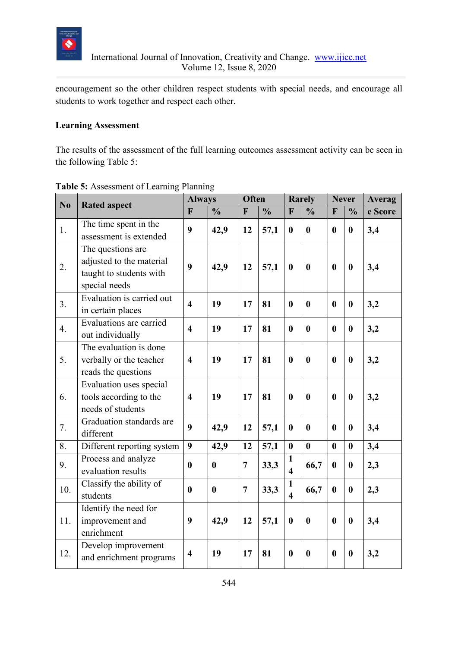

encouragement so the other children respect students with special needs, and encourage all students to work together and respect each other.

# **Learning Assessment**

The results of the assessment of the full learning outcomes assessment activity can be seen in the following Table 5:

| N <sub>0</sub> | <b>Rated aspect</b>                                                                       | <b>Always</b>           |                  | <b>Often</b>   |               | <b>Rarely</b>                           |                  | <b>Never</b>     |                  | <b>Averag</b> |
|----------------|-------------------------------------------------------------------------------------------|-------------------------|------------------|----------------|---------------|-----------------------------------------|------------------|------------------|------------------|---------------|
|                |                                                                                           | $\mathbf{F}$            | $\frac{0}{0}$    | F              | $\frac{0}{0}$ | F                                       | $\frac{0}{0}$    | F                | $\frac{0}{0}$    | e Score       |
| 1.             | The time spent in the<br>assessment is extended                                           | 9                       | 42,9             | 12             | 57,1          | $\bf{0}$                                | $\mathbf{0}$     | $\bf{0}$         | $\bf{0}$         | 3,4           |
| 2.             | The questions are<br>adjusted to the material<br>taught to students with<br>special needs | 9                       | 42,9             | 12             | 57,1          | $\boldsymbol{0}$                        | $\bf{0}$         | $\bf{0}$         | $\bf{0}$         | 3,4           |
| 3.             | Evaluation is carried out<br>in certain places                                            | $\overline{\mathbf{4}}$ | 19               | 17             | 81            | $\bf{0}$                                | $\bf{0}$         | $\bf{0}$         | $\bf{0}$         | 3,2           |
| 4.             | Evaluations are carried<br>out individually                                               | $\overline{4}$          | 19               | 17             | 81            | $\bf{0}$                                | $\bf{0}$         | $\bf{0}$         | $\bf{0}$         | 3,2           |
| 5.             | The evaluation is done<br>verbally or the teacher<br>reads the questions                  | $\overline{4}$          | 19               | 17             | 81            | $\boldsymbol{0}$                        | $\mathbf{0}$     | $\bf{0}$         | $\bf{0}$         | 3,2           |
| 6.             | Evaluation uses special<br>tools according to the<br>needs of students                    | $\overline{\mathbf{4}}$ | 19               | 17             | 81            | $\bf{0}$                                | $\bf{0}$         | $\bf{0}$         | $\bf{0}$         | 3,2           |
| 7.             | Graduation standards are<br>different                                                     | 9                       | 42,9             | 12             | 57,1          | $\mathbf{0}$                            | $\mathbf{0}$     | $\mathbf{0}$     | $\mathbf{0}$     | 3,4           |
| 8.             | Different reporting system                                                                | $\boldsymbol{9}$        | 42,9             | 12             | 57,1          | $\boldsymbol{0}$                        | $\boldsymbol{0}$ | $\bf{0}$         | $\bf{0}$         | 3,4           |
| 9.             | Process and analyze<br>evaluation results                                                 | $\bf{0}$                | $\boldsymbol{0}$ | $\overline{7}$ | 33,3          | $\mathbf{1}$<br>$\overline{\mathbf{4}}$ | 66,7             | $\boldsymbol{0}$ | $\boldsymbol{0}$ | 2,3           |
| 10.            | Classify the ability of<br>students                                                       | $\mathbf{0}$            | $\bf{0}$         | $\overline{7}$ | 33,3          | $\mathbf{1}$<br>$\overline{\mathbf{4}}$ | 66,7             | $\bf{0}$         | $\bf{0}$         | 2,3           |
| 11.            | Identify the need for<br>improvement and<br>enrichment                                    | 9                       | 42,9             | 12             | 57,1          | $\bf{0}$                                | $\boldsymbol{0}$ | $\bf{0}$         | $\boldsymbol{0}$ | 3,4           |
| 12.            | Develop improvement<br>and enrichment programs                                            | $\overline{\mathbf{4}}$ | 19               | 17             | 81            | $\boldsymbol{0}$                        | $\bf{0}$         | $\boldsymbol{0}$ | $\boldsymbol{0}$ | 3,2           |

# **Table 5:** Assessment of Learning Planning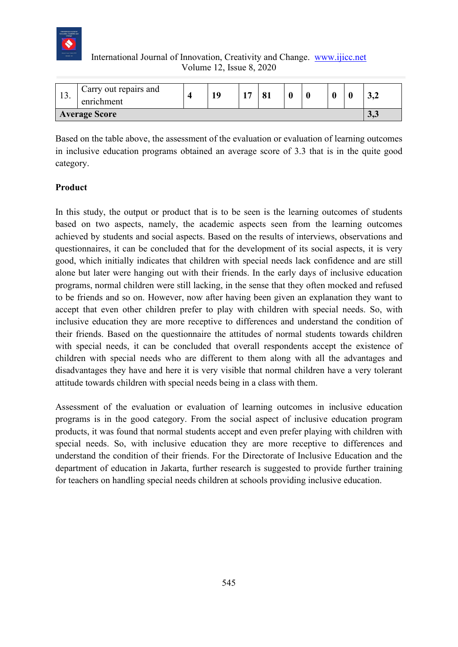

| 19.                  | Carry out repairs and<br>enrichment |  | 10 | 17 |  |  |  | 11     |  | ◡◂▵ |
|----------------------|-------------------------------------|--|----|----|--|--|--|--------|--|-----|
| <b>Average Score</b> |                                     |  |    |    |  |  |  | ں کی ب |  |     |

Based on the table above, the assessment of the evaluation or evaluation of learning outcomes in inclusive education programs obtained an average score of 3.3 that is in the quite good category.

# **Product**

In this study, the output or product that is to be seen is the learning outcomes of students based on two aspects, namely, the academic aspects seen from the learning outcomes achieved by students and social aspects. Based on the results of interviews, observations and questionnaires, it can be concluded that for the development of its social aspects, it is very good, which initially indicates that children with special needs lack confidence and are still alone but later were hanging out with their friends. In the early days of inclusive education programs, normal children were still lacking, in the sense that they often mocked and refused to be friends and so on. However, now after having been given an explanation they want to accept that even other children prefer to play with children with special needs. So, with inclusive education they are more receptive to differences and understand the condition of their friends. Based on the questionnaire the attitudes of normal students towards children with special needs, it can be concluded that overall respondents accept the existence of children with special needs who are different to them along with all the advantages and disadvantages they have and here it is very visible that normal children have a very tolerant attitude towards children with special needs being in a class with them.

Assessment of the evaluation or evaluation of learning outcomes in inclusive education programs is in the good category. From the social aspect of inclusive education program products, it was found that normal students accept and even prefer playing with children with special needs. So, with inclusive education they are more receptive to differences and understand the condition of their friends. For the Directorate of Inclusive Education and the department of education in Jakarta, further research is suggested to provide further training for teachers on handling special needs children at schools providing inclusive education.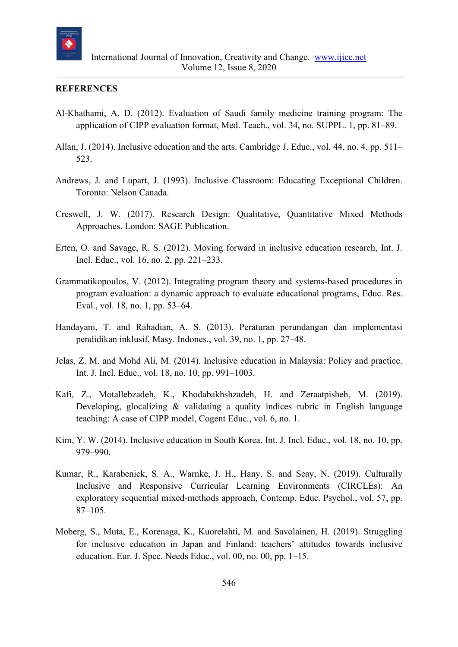

#### **REFERENCES**

- Al-Khathami, A. D. (2012). Evaluation of Saudi family medicine training program: The application of CIPP evaluation format, Med. Teach., vol. 34, no. SUPPL. 1, pp. 81–89.
- Allan, J. (2014). Inclusive education and the arts. Cambridge J. Educ., vol. 44, no. 4, pp. 511– 523.
- Andrews, J. and Lupart, J. (1993). Inclusive Classroom: Educating Exceptional Children. Toronto: Nelson Canada.
- Creswell, J. W. (2017). Research Design: Qualitative, Quantitative Mixed Methods Approaches. London: SAGE Publication.
- Erten, O. and Savage, R. S. (2012). Moving forward in inclusive education research, Int. J. Incl. Educ., vol. 16, no. 2, pp. 221–233.
- Grammatikopoulos, V. (2012). Integrating program theory and systems-based procedures in program evaluation: a dynamic approach to evaluate educational programs, Educ. Res. Eval., vol. 18, no. 1, pp. 53–64.
- Handayani, T. and Rahadian, A. S. (2013). Peraturan perundangan dan implementasi pendidikan inklusif, Masy. Indones., vol. 39, no. 1, pp. 27–48.
- Jelas, Z. M. and Mohd Ali, M. (2014). Inclusive education in Malaysia: Policy and practice. Int. J. Incl. Educ., vol. 18, no. 10, pp. 991–1003.
- Kafi, Z., Motallebzadeh, K., Khodabakhshzadeh, H. and Zeraatpisheh, M. (2019). Developing, glocalizing & validating a quality indices rubric in English language teaching: A case of CIPP model, Cogent Educ., vol. 6, no. 1.
- Kim, Y. W. (2014). Inclusive education in South Korea, Int. J. Incl. Educ., vol. 18, no. 10, pp. 979–990.
- Kumar, R., Karabenick, S. A., Warnke, J. H., Hany, S. and Seay, N. (2019). Culturally Inclusive and Responsive Curricular Learning Environments (CIRCLEs): An exploratory sequential mixed-methods approach, Contemp. Educ. Psychol., vol. 57, pp. 87–105.
- Moberg, S., Muta, E., Korenaga, K., Kuorelahti, M. and Savolainen, H. (2019). Struggling for inclusive education in Japan and Finland: teachers' attitudes towards inclusive education. Eur. J. Spec. Needs Educ., vol. 00, no. 00, pp. 1–15.